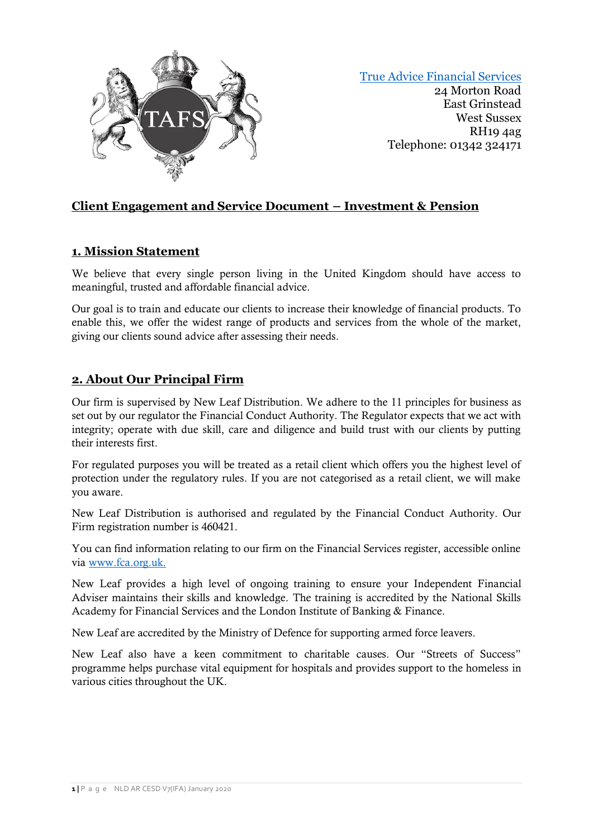

[True Advice Financial Services](https://trueadvicefinancialservices.co.uk/) 24 Morton Road East Grinstead West Sussex RH19 4ag Telephone: 01342 324171

# **Client Engagement and Service Document – Investment & Pension**

# **1. Mission Statement**

We believe that every single person living in the United Kingdom should have access to meaningful, trusted and affordable financial advice.

Our goal is to train and educate our clients to increase their knowledge of financial products. To enable this, we offer the widest range of products and services from the whole of the market, giving our clients sound advice after assessing their needs.

# **2. About Our Principal Firm**

Our firm is supervised by New Leaf Distribution. We adhere to the 11 principles for business as set out by our regulator the Financial Conduct Authority. The Regulator expects that we act with integrity; operate with due skill, care and diligence and build trust with our clients by putting their interests first.

For regulated purposes you will be treated as a retail client which offers you the highest level of protection under the regulatory rules. If you are not categorised as a retail client, we will make you aware.

New Leaf Distribution is authorised and regulated by the Financial Conduct Authority. Our Firm registration number is 460421.

You can find information relating to our firm on the Financial Services register, accessible online via [www.fca.org.uk.](http://www.fca.org.uk/)

New Leaf provides a high level of ongoing training to ensure your Independent Financial Adviser maintains their skills and knowledge. The training is accredited by the National Skills Academy for Financial Services and the London Institute of Banking & Finance.

New Leaf are accredited by the Ministry of Defence for supporting armed force leavers.

New Leaf also have a keen commitment to charitable causes. Our "Streets of Success" programme helps purchase vital equipment for hospitals and provides support to the homeless in various cities throughout the UK.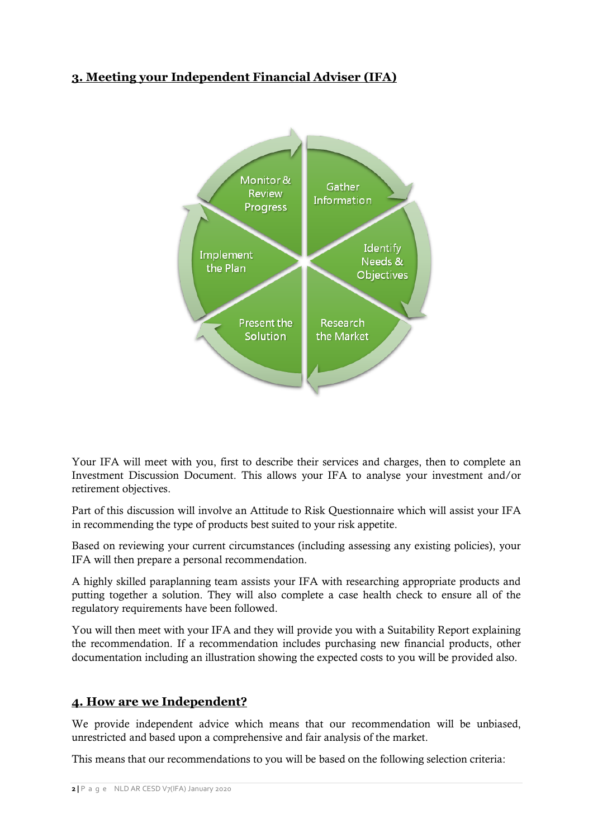# **3. Meeting your Independent Financial Adviser (IFA)**



Your IFA will meet with you, first to describe their services and charges, then to complete an Investment Discussion Document. This allows your IFA to analyse your investment and/or retirement objectives.

Part of this discussion will involve an Attitude to Risk Questionnaire which will assist your IFA in recommending the type of products best suited to your risk appetite.

Based on reviewing your current circumstances (including assessing any existing policies), your IFA will then prepare a personal recommendation.

A highly skilled paraplanning team assists your IFA with researching appropriate products and putting together a solution. They will also complete a case health check to ensure all of the regulatory requirements have been followed.

You will then meet with your IFA and they will provide you with a Suitability Report explaining the recommendation. If a recommendation includes purchasing new financial products, other documentation including an illustration showing the expected costs to you will be provided also.

# **4. How are we Independent?**

We provide independent advice which means that our recommendation will be unbiased, unrestricted and based upon a comprehensive and fair analysis of the market.

This means that our recommendations to you will be based on the following selection criteria: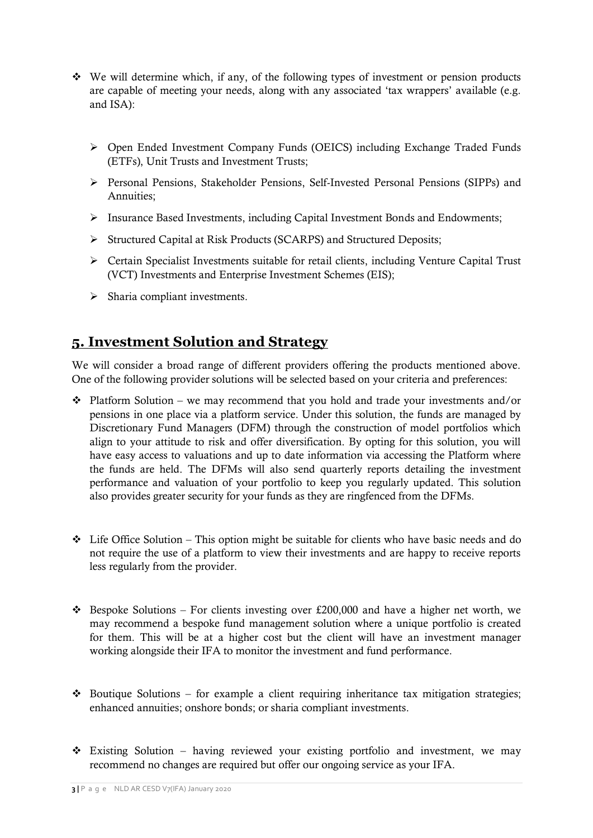- We will determine which, if any, of the following types of investment or pension products are capable of meeting your needs, along with any associated 'tax wrappers' available (e.g. and ISA):
	- Open Ended Investment Company Funds (OEICS) including Exchange Traded Funds (ETFs), Unit Trusts and Investment Trusts;
	- Personal Pensions, Stakeholder Pensions, Self-Invested Personal Pensions (SIPPs) and Annuities;
	- Insurance Based Investments, including Capital Investment Bonds and Endowments;
	- Structured Capital at Risk Products (SCARPS) and Structured Deposits;
	- Certain Specialist Investments suitable for retail clients, including Venture Capital Trust (VCT) Investments and Enterprise Investment Schemes (EIS);
	- $\triangleright$  Sharia compliant investments.

# **5. Investment Solution and Strategy**

We will consider a broad range of different providers offering the products mentioned above. One of the following provider solutions will be selected based on your criteria and preferences:

- $\cdot$  Platform Solution we may recommend that you hold and trade your investments and/or pensions in one place via a platform service. Under this solution, the funds are managed by Discretionary Fund Managers (DFM) through the construction of model portfolios which align to your attitude to risk and offer diversification. By opting for this solution, you will have easy access to valuations and up to date information via accessing the Platform where the funds are held. The DFMs will also send quarterly reports detailing the investment performance and valuation of your portfolio to keep you regularly updated. This solution also provides greater security for your funds as they are ringfenced from the DFMs.
- $\div$  Life Office Solution This option might be suitable for clients who have basic needs and do not require the use of a platform to view their investments and are happy to receive reports less regularly from the provider.
- $\cdot \cdot$  Bespoke Solutions For clients investing over £200,000 and have a higher net worth, we may recommend a bespoke fund management solution where a unique portfolio is created for them. This will be at a higher cost but the client will have an investment manager working alongside their IFA to monitor the investment and fund performance.
- $\cdot$  Boutique Solutions for example a client requiring inheritance tax mitigation strategies; enhanced annuities; onshore bonds; or sharia compliant investments.
- Existing Solution having reviewed your existing portfolio and investment, we may recommend no changes are required but offer our ongoing service as your IFA.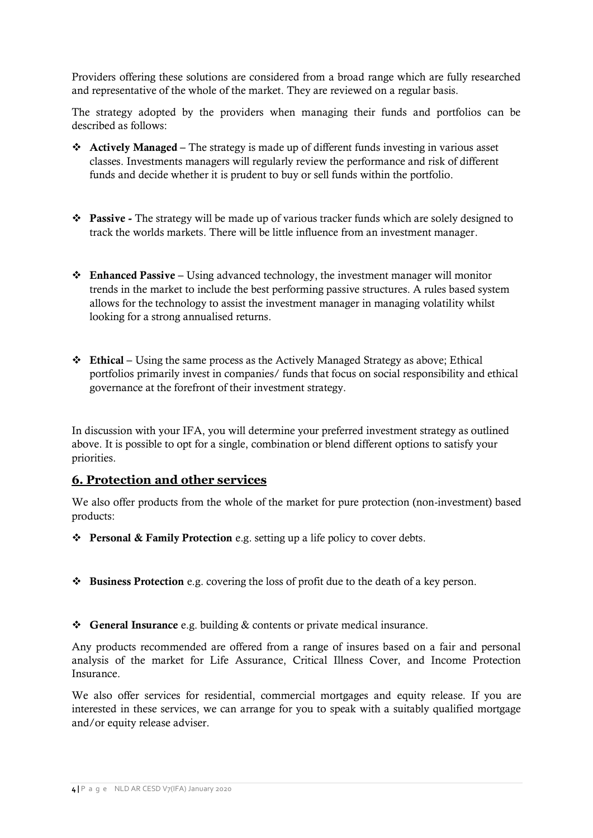Providers offering these solutions are considered from a broad range which are fully researched and representative of the whole of the market. They are reviewed on a regular basis.

The strategy adopted by the providers when managing their funds and portfolios can be described as follows:

- **Actively Managed –** The strategy is made up of different funds investing in various asset classes. Investments managers will regularly review the performance and risk of different funds and decide whether it is prudent to buy or sell funds within the portfolio.
- **Passive -** The strategy will be made up of various tracker funds which are solely designed to track the worlds markets. There will be little influence from an investment manager.
- **Enhanced Passive –** Using advanced technology, the investment manager will monitor trends in the market to include the best performing passive structures. A rules based system allows for the technology to assist the investment manager in managing volatility whilst looking for a strong annualised returns.
- **❖** Ethical Using the same process as the Actively Managed Strategy as above; Ethical portfolios primarily invest in companies/ funds that focus on social responsibility and ethical governance at the forefront of their investment strategy.

In discussion with your IFA, you will determine your preferred investment strategy as outlined above. It is possible to opt for a single, combination or blend different options to satisfy your priorities.

#### **6. Protection and other services**

We also offer products from the whole of the market for pure protection (non-investment) based products:

- **Personal & Family Protection** e.g. setting up a life policy to cover debts.
- **Business Protection** e.g. covering the loss of profit due to the death of a key person.
- **General Insurance** e.g. building & contents or private medical insurance.

Any products recommended are offered from a range of insures based on a fair and personal analysis of the market for Life Assurance, Critical Illness Cover, and Income Protection Insurance.

We also offer services for residential, commercial mortgages and equity release. If you are interested in these services, we can arrange for you to speak with a suitably qualified mortgage and/or equity release adviser.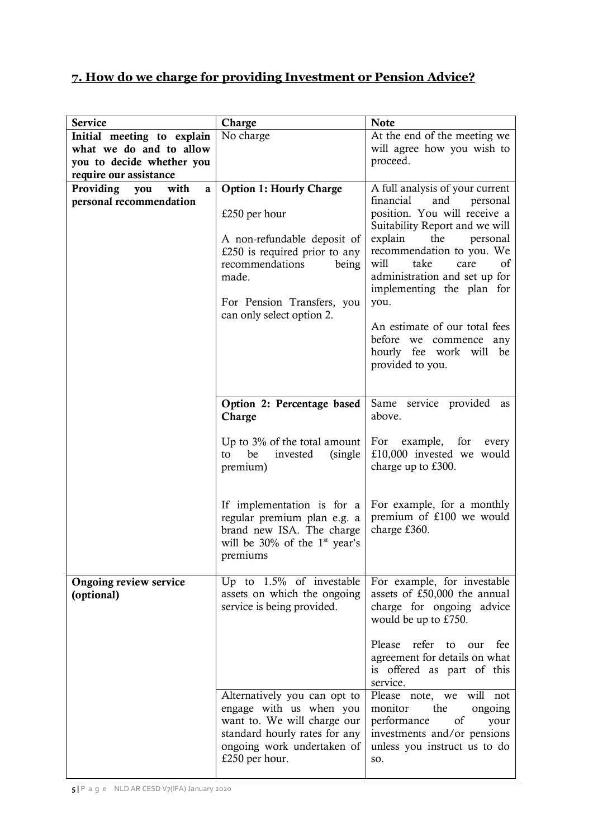# **7. How do we charge for providing Investment or Pension Advice?**

| <b>Service</b>                                                                                               | Charge                                                                                                                                                                                                          | <b>Note</b>                                                                                                                                                                                                                                                                                                                                                                                                |
|--------------------------------------------------------------------------------------------------------------|-----------------------------------------------------------------------------------------------------------------------------------------------------------------------------------------------------------------|------------------------------------------------------------------------------------------------------------------------------------------------------------------------------------------------------------------------------------------------------------------------------------------------------------------------------------------------------------------------------------------------------------|
| Initial meeting to explain<br>what we do and to allow<br>you to decide whether you<br>require our assistance | No charge                                                                                                                                                                                                       | At the end of the meeting we<br>will agree how you wish to<br>proceed.                                                                                                                                                                                                                                                                                                                                     |
| Providing<br>with<br>you<br>a<br>personal recommendation                                                     | <b>Option 1: Hourly Charge</b><br>£250 per hour<br>A non-refundable deposit of<br>£250 is required prior to any<br>recommendations<br>being<br>made.<br>For Pension Transfers, you<br>can only select option 2. | A full analysis of your current<br>financial<br>and<br>personal<br>position. You will receive a<br>Suitability Report and we will<br>explain<br>the<br>personal<br>recommendation to you. We<br>take<br>will<br>care<br>οť<br>administration and set up for<br>implementing the plan for<br>you.<br>An estimate of our total fees<br>before we commence any<br>hourly fee work will be<br>provided to you. |
|                                                                                                              | Option 2: Percentage based<br>Charge<br>Up to $3\%$ of the total amount<br>(single)<br>be<br>invested<br>to<br>premium)                                                                                         | Same service provided<br>as<br>above.<br>For example, for<br>every<br>£10,000 invested we would<br>charge up to £300.                                                                                                                                                                                                                                                                                      |
|                                                                                                              | If implementation is for a<br>regular premium plan e.g. a<br>brand new ISA. The charge<br>will be $30\%$ of the 1 <sup>st</sup> year's<br>premiums                                                              | For example, for a monthly<br>premium of £100 we would<br>charge £360.                                                                                                                                                                                                                                                                                                                                     |
| Ongoing review service<br>(optional)                                                                         | Up to $1.5\%$ of investable<br>assets on which the ongoing<br>service is being provided.                                                                                                                        | For example, for investable<br>assets of £50,000 the annual<br>charge for ongoing advice<br>would be up to £750.<br>Please refer to our fee                                                                                                                                                                                                                                                                |
|                                                                                                              | Alternatively you can opt to<br>engage with us when you<br>want to. We will charge our<br>standard hourly rates for any<br>ongoing work undertaken of<br>£250 per hour.                                         | agreement for details on what<br>is offered as part of this<br>service.<br>Please note, we will not<br>monitor<br>the<br>ongoing<br>of<br>performance<br>your<br>investments and/or pensions<br>unless you instruct us to do<br>SO.                                                                                                                                                                        |